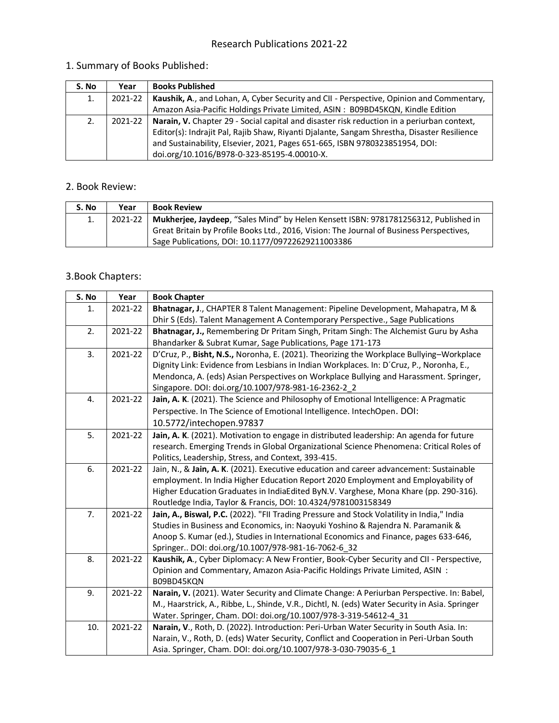#### 1. Summary of Books Published:

| S. No | Year    | <b>Books Published</b>                                                                            |
|-------|---------|---------------------------------------------------------------------------------------------------|
| 1.    | 2021-22 | Kaushik, A., and Lohan, A. Cyber Security and CII - Perspective, Opinion and Commentary,          |
|       |         | Amazon Asia-Pacific Holdings Private Limited, ASIN: B09BD45KQN, Kindle Edition                    |
| 2.    | 2021-22 | <b>Narain, V.</b> Chapter 29 - Social capital and disaster risk reduction in a periurban context, |
|       |         | Editor(s): Indrajit Pal, Rajib Shaw, Riyanti Djalante, Sangam Shrestha, Disaster Resilience       |
|       |         | and Sustainability, Elsevier, 2021, Pages 651-665, ISBN 9780323851954, DOI:                       |
|       |         | doi.org/10.1016/B978-0-323-85195-4.00010-X.                                                       |

#### 2. Book Review:

| S. No | Year | <b>Book Review</b>                                                                                                                            |
|-------|------|-----------------------------------------------------------------------------------------------------------------------------------------------|
|       |      | 2021-22   Mukherjee, Jaydeep, "Sales Mind" by Helen Kensett ISBN: 9781781256312, Published in                                                 |
|       |      | Great Britain by Profile Books Ltd., 2016, Vision: The Journal of Business Perspectives,<br>Sage Publications, DOI: 10.1177/09722629211003386 |

#### 3.Book Chapters:

| S. No | Year    | <b>Book Chapter</b>                                                                            |
|-------|---------|------------------------------------------------------------------------------------------------|
| 1.    | 2021-22 | Bhatnagar, J., CHAPTER 8 Talent Management: Pipeline Development, Mahapatra, M &               |
|       |         | Dhir S (Eds). Talent Management A Contemporary Perspective., Sage Publications                 |
| 2.    | 2021-22 | Bhatnagar, J., Remembering Dr Pritam Singh, Pritam Singh: The Alchemist Guru by Asha           |
|       |         | Bhandarker & Subrat Kumar, Sage Publications, Page 171-173                                     |
| 3.    | 2021-22 | D'Cruz, P., Bisht, N.S., Noronha, E. (2021). Theorizing the Workplace Bullying-Workplace       |
|       |         | Dignity Link: Evidence from Lesbians in Indian Workplaces. In: D'Cruz, P., Noronha, E.,        |
|       |         | Mendonca, A. (eds) Asian Perspectives on Workplace Bullying and Harassment. Springer,          |
|       |         | Singapore. DOI: doi.org/10.1007/978-981-16-2362-2_2                                            |
| 4.    | 2021-22 | Jain, A. K. (2021). The Science and Philosophy of Emotional Intelligence: A Pragmatic          |
|       |         | Perspective. In The Science of Emotional Intelligence. IntechOpen. DOI:                        |
|       |         | 10.5772/intechopen.97837                                                                       |
| 5.    | 2021-22 | Jain, A. K. (2021). Motivation to engage in distributed leadership: An agenda for future       |
|       |         | research. Emerging Trends in Global Organizational Science Phenomena: Critical Roles of        |
|       |         | Politics, Leadership, Stress, and Context, 393-415.                                            |
| 6.    | 2021-22 | Jain, N., & Jain, A. K. (2021). Executive education and career advancement: Sustainable        |
|       |         | employment. In India Higher Education Report 2020 Employment and Employability of              |
|       |         | Higher Education Graduates in IndiaEdited ByN.V. Varghese, Mona Khare (pp. 290-316).           |
|       |         | Routledge India, Taylor & Francis, DOI: 10.4324/9781003158349                                  |
| 7.    | 2021-22 | Jain, A., Biswal, P.C. (2022). "Fll Trading Pressure and Stock Volatility in India," India     |
|       |         | Studies in Business and Economics, in: Naoyuki Yoshino & Rajendra N. Paramanik &               |
|       |         | Anoop S. Kumar (ed.), Studies in International Economics and Finance, pages 633-646,           |
|       |         | Springer DOI: doi.org/10.1007/978-981-16-7062-6_32                                             |
| 8.    | 2021-22 | Kaushik, A., Cyber Diplomacy: A New Frontier, Book-Cyber Security and CII - Perspective,       |
|       |         | Opinion and Commentary, Amazon Asia-Pacific Holdings Private Limited, ASIN:                    |
|       |         | B09BD45KQN                                                                                     |
| 9.    | 2021-22 | Narain, V. (2021). Water Security and Climate Change: A Periurban Perspective. In: Babel,      |
|       |         | M., Haarstrick, A., Ribbe, L., Shinde, V.R., Dichtl, N. (eds) Water Security in Asia. Springer |
|       |         | Water. Springer, Cham. DOI: doi.org/10.1007/978-3-319-54612-4_31                               |
| 10.   | 2021-22 | Narain, V., Roth, D. (2022). Introduction: Peri-Urban Water Security in South Asia. In:        |
|       |         | Narain, V., Roth, D. (eds) Water Security, Conflict and Cooperation in Peri-Urban South        |
|       |         | Asia. Springer, Cham. DOI: doi.org/10.1007/978-3-030-79035-6 1                                 |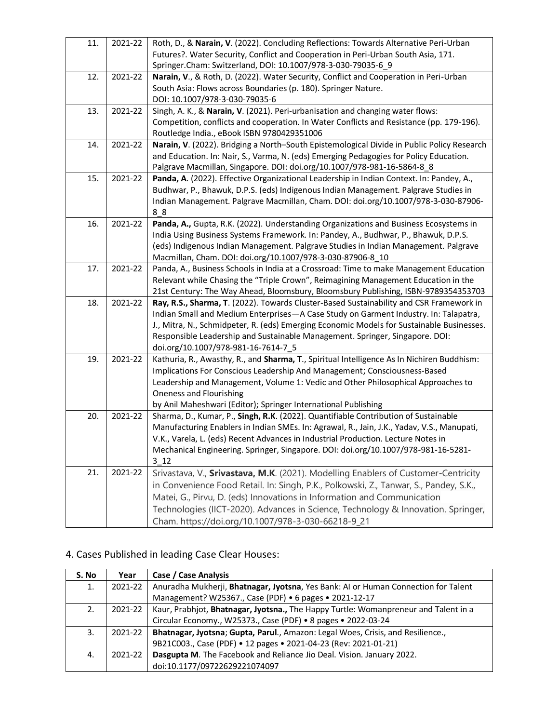| 11. | 2021-22 | Roth, D., & Narain, V. (2022). Concluding Reflections: Towards Alternative Peri-Urban<br>Futures?. Water Security, Conflict and Cooperation in Peri-Urban South Asia, 171.<br>Springer.Cham: Switzerland, DOI: 10.1007/978-3-030-79035-6_9                                                                                                                                                          |
|-----|---------|-----------------------------------------------------------------------------------------------------------------------------------------------------------------------------------------------------------------------------------------------------------------------------------------------------------------------------------------------------------------------------------------------------|
| 12. | 2021-22 | Narain, V., & Roth, D. (2022). Water Security, Conflict and Cooperation in Peri-Urban<br>South Asia: Flows across Boundaries (p. 180). Springer Nature.<br>DOI: 10.1007/978-3-030-79035-6                                                                                                                                                                                                           |
| 13. | 2021-22 | Singh, A. K., & Narain, V. (2021). Peri-urbanisation and changing water flows:<br>Competition, conflicts and cooperation. In Water Conflicts and Resistance (pp. 179-196).<br>Routledge India., eBook ISBN 9780429351006                                                                                                                                                                            |
| 14. | 2021-22 | Narain, V. (2022). Bridging a North-South Epistemological Divide in Public Policy Research<br>and Education. In: Nair, S., Varma, N. (eds) Emerging Pedagogies for Policy Education.<br>Palgrave Macmillan, Singapore. DOI: doi.org/10.1007/978-981-16-5864-8_8                                                                                                                                     |
| 15. | 2021-22 | Panda, A. (2022). Effective Organizational Leadership in Indian Context. In: Pandey, A.,<br>Budhwar, P., Bhawuk, D.P.S. (eds) Indigenous Indian Management. Palgrave Studies in<br>Indian Management. Palgrave Macmillan, Cham. DOI: doi.org/10.1007/978-3-030-87906-<br>88                                                                                                                         |
| 16. | 2021-22 | Panda, A., Gupta, R.K. (2022). Understanding Organizations and Business Ecosystems in<br>India Using Business Systems Framework. In: Pandey, A., Budhwar, P., Bhawuk, D.P.S.<br>(eds) Indigenous Indian Management. Palgrave Studies in Indian Management. Palgrave<br>Macmillan, Cham. DOI: doi.org/10.1007/978-3-030-87906-8_10                                                                   |
| 17. | 2021-22 | Panda, A., Business Schools in India at a Crossroad: Time to make Management Education<br>Relevant while Chasing the "Triple Crown", Reimagining Management Education in the<br>21st Century: The Way Ahead, Bloomsbury, Bloomsbury Publishing, ISBN-9789354353703                                                                                                                                  |
| 18. | 2021-22 | Ray, R.S., Sharma, T. (2022). Towards Cluster-Based Sustainability and CSR Framework in<br>Indian Small and Medium Enterprises-A Case Study on Garment Industry. In: Talapatra,<br>J., Mitra, N., Schmidpeter, R. (eds) Emerging Economic Models for Sustainable Businesses.<br>Responsible Leadership and Sustainable Management. Springer, Singapore. DOI:<br>doi.org/10.1007/978-981-16-7614-7_5 |
| 19. | 2021-22 | Kathuria, R., Awasthy, R., and Sharma, T., Spiritual Intelligence As In Nichiren Buddhism:<br>Implications For Conscious Leadership And Management; Consciousness-Based<br>Leadership and Management, Volume 1: Vedic and Other Philosophical Approaches to<br><b>Oneness and Flourishing</b><br>by Anil Maheshwari (Editor); Springer International Publishing                                     |
| 20. | 2021-22 | Sharma, D., Kumar, P., Singh, R.K. (2022). Quantifiable Contribution of Sustainable<br>Manufacturing Enablers in Indian SMEs. In: Agrawal, R., Jain, J.K., Yadav, V.S., Manupati,<br>V.K., Varela, L. (eds) Recent Advances in Industrial Production. Lecture Notes in<br>Mechanical Engineering. Springer, Singapore. DOI: doi.org/10.1007/978-981-16-5281-<br>3 12                                |
| 21. | 2021-22 | Srivastava, V., Srivastava, M.K. (2021). Modelling Enablers of Customer-Centricity<br>in Convenience Food Retail. In: Singh, P.K., Polkowski, Z., Tanwar, S., Pandey, S.K.,<br>Matei, G., Pirvu, D. (eds) Innovations in Information and Communication<br>Technologies (IICT-2020). Advances in Science, Technology & Innovation. Springer,<br>Cham. https://doi.org/10.1007/978-3-030-66218-9_21   |

## 4. Cases Published in leading Case Clear Houses:

| S. No | Year    | Case / Case Analysis                                                                |
|-------|---------|-------------------------------------------------------------------------------------|
| 1.    | 2021-22 | Anuradha Mukherji, Bhatnagar, Jyotsna, Yes Bank: Al or Human Connection for Talent  |
|       |         | Management? W25367., Case (PDF) • 6 pages • 2021-12-17                              |
| 2.    | 2021-22 | Kaur, Prabhjot, Bhatnagar, Jyotsna., The Happy Turtle: Womanpreneur and Talent in a |
|       |         | Circular Economy., W25373., Case (PDF) . 8 pages . 2022-03-24                       |
| 3.    | 2021-22 | Bhatnagar, Jyotsna; Gupta, Parul., Amazon: Legal Woes, Crisis, and Resilience.,     |
|       |         | 9B21C003., Case (PDF) • 12 pages • 2021-04-23 (Rev: 2021-01-21)                     |
| 4.    | 2021-22 | Dasgupta M. The Facebook and Reliance Jio Deal. Vision. January 2022.               |
|       |         | doi:10.1177/09722629221074097                                                       |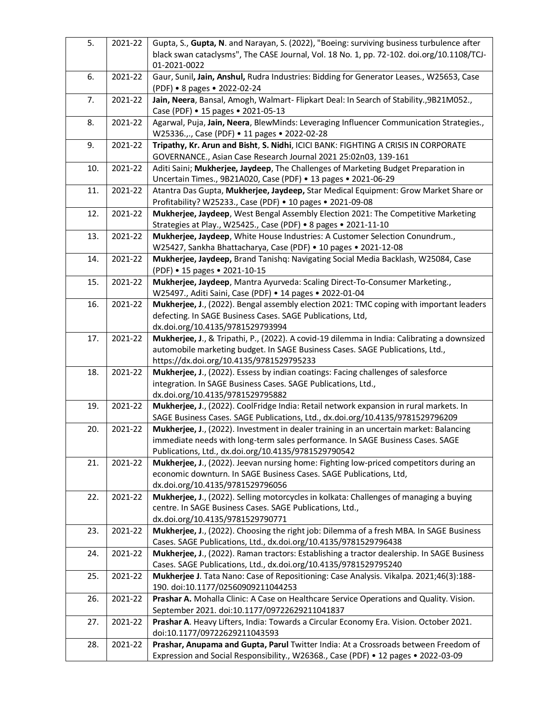| 5.  | 2021-22 | Gupta, S., Gupta, N. and Narayan, S. (2022), "Boeing: surviving business turbulence after   |
|-----|---------|---------------------------------------------------------------------------------------------|
|     |         | black swan cataclysms", The CASE Journal, Vol. 18 No. 1, pp. 72-102. doi.org/10.1108/TCJ-   |
|     |         | 01-2021-0022                                                                                |
| 6.  | 2021-22 | Gaur, Sunil, Jain, Anshul, Rudra Industries: Bidding for Generator Leases., W25653, Case    |
|     |         | (PDF) • 8 pages • 2022-02-24                                                                |
| 7.  | 2021-22 | Jain, Neera, Bansal, Amogh, Walmart- Flipkart Deal: In Search of Stability., 9B21M052.,     |
|     |         | Case (PDF) • 15 pages • 2021-05-13                                                          |
| 8.  | 2021-22 | Agarwal, Puja, Jain, Neera, BlewMinds: Leveraging Influencer Communication Strategies.,     |
|     |         | W25336.,., Case (PDF) • 11 pages • 2022-02-28                                               |
| 9.  | 2021-22 | Tripathy, Kr. Arun and Bisht, S. Nidhi, ICICI BANK: FIGHTING A CRISIS IN CORPORATE          |
|     |         | GOVERNANCE., Asian Case Research Journal 2021 25:02n03, 139-161                             |
| 10. | 2021-22 | Aditi Saini; Mukherjee, Jaydeep, The Challenges of Marketing Budget Preparation in          |
|     |         | Uncertain Times., 9B21A020, Case (PDF) • 13 pages • 2021-06-29                              |
| 11. | 2021-22 | Atantra Das Gupta, Mukherjee, Jaydeep, Star Medical Equipment: Grow Market Share or         |
|     |         | Profitability? W25233., Case (PDF) • 10 pages • 2021-09-08                                  |
|     |         | Mukherjee, Jaydeep, West Bengal Assembly Election 2021: The Competitive Marketing           |
| 12. | 2021-22 |                                                                                             |
|     |         | Strategies at Play., W25425., Case (PDF) . 8 pages . 2021-11-10                             |
| 13. | 2021-22 | Mukherjee, Jaydeep, White House Industries: A Customer Selection Conundrum.,                |
|     |         | W25427, Sankha Bhattacharya, Case (PDF) . 10 pages . 2021-12-08                             |
| 14. | 2021-22 | Mukherjee, Jaydeep, Brand Tanishq: Navigating Social Media Backlash, W25084, Case           |
|     |         | (PDF) • 15 pages • 2021-10-15                                                               |
| 15. | 2021-22 | Mukherjee, Jaydeep, Mantra Ayurveda: Scaling Direct-To-Consumer Marketing.,                 |
|     |         | W25497., Aditi Saini, Case (PDF) • 14 pages • 2022-01-04                                    |
| 16. | 2021-22 | Mukherjee, J., (2022). Bengal assembly election 2021: TMC coping with important leaders     |
|     |         | defecting. In SAGE Business Cases. SAGE Publications, Ltd,                                  |
|     |         | dx.doi.org/10.4135/9781529793994                                                            |
| 17. | 2021-22 | Mukherjee, J., & Tripathi, P., (2022). A covid-19 dilemma in India: Calibrating a downsized |
|     |         | automobile marketing budget. In SAGE Business Cases. SAGE Publications, Ltd.,               |
|     |         | https://dx.doi.org/10.4135/9781529795233                                                    |
| 18. | 2021-22 | Mukherjee, J., (2022). Essess by indian coatings: Facing challenges of salesforce           |
|     |         | integration. In SAGE Business Cases. SAGE Publications, Ltd.,                               |
|     |         | dx.doi.org/10.4135/9781529795882                                                            |
| 19. | 2021-22 | Mukherjee, J., (2022). CoolFridge India: Retail network expansion in rural markets. In      |
|     |         | SAGE Business Cases. SAGE Publications, Ltd., dx.doi.org/10.4135/9781529796209              |
| 20. | 2021-22 | Mukherjee, J., (2022). Investment in dealer training in an uncertain market: Balancing      |
|     |         | immediate needs with long-term sales performance. In SAGE Business Cases. SAGE              |
|     |         | Publications, Ltd., dx.doi.org/10.4135/9781529790542                                        |
| 21. | 2021-22 | Mukherjee, J., (2022). Jeevan nursing home: Fighting low-priced competitors during an       |
|     |         | economic downturn. In SAGE Business Cases. SAGE Publications, Ltd,                          |
|     |         | dx.doi.org/10.4135/9781529796056                                                            |
| 22. | 2021-22 | Mukherjee, J., (2022). Selling motorcycles in kolkata: Challenges of managing a buying      |
|     |         | centre. In SAGE Business Cases. SAGE Publications, Ltd.,                                    |
|     |         | dx.doi.org/10.4135/9781529790771                                                            |
| 23. | 2021-22 | Mukherjee, J., (2022). Choosing the right job: Dilemma of a fresh MBA. In SAGE Business     |
|     |         | Cases. SAGE Publications, Ltd., dx.doi.org/10.4135/9781529796438                            |
| 24. | 2021-22 | Mukherjee, J., (2022). Raman tractors: Establishing a tractor dealership. In SAGE Business  |
|     |         | Cases. SAGE Publications, Ltd., dx.doi.org/10.4135/9781529795240                            |
| 25. | 2021-22 | Mukherjee J. Tata Nano: Case of Repositioning: Case Analysis. Vikalpa. 2021;46(3):188-      |
|     |         | 190. doi:10.1177/02560909211044253                                                          |
| 26. | 2021-22 | Prashar A. Mohalla Clinic: A Case on Healthcare Service Operations and Quality. Vision.     |
|     |         | September 2021. doi:10.1177/09722629211041837                                               |
| 27. | 2021-22 | Prashar A. Heavy Lifters, India: Towards a Circular Economy Era. Vision. October 2021.      |
|     |         | doi:10.1177/09722629211043593                                                               |
| 28. | 2021-22 | Prashar, Anupama and Gupta, Parul Twitter India: At a Crossroads between Freedom of         |
|     |         | Expression and Social Responsibility., W26368., Case (PDF) • 12 pages • 2022-03-09          |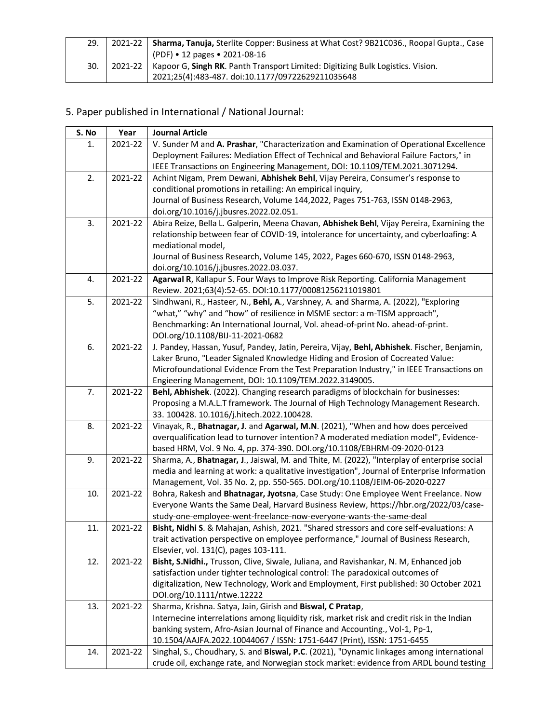|     | 2021-22   Sharma, Tanuja, Sterlite Copper: Business at What Cost? 9B21C036., Roopal Gupta., Case |
|-----|--------------------------------------------------------------------------------------------------|
|     | PDF) • 12 pages • 2021-08-16                                                                     |
| 30. | 2021-22   Kapoor G, Singh RK. Panth Transport Limited: Digitizing Bulk Logistics. Vision.        |
|     | 2021;25(4):483-487. doi:10.1177/09722629211035648                                                |

## 5. Paper published in International / National Journal:

| S. No | Year    | <b>Journal Article</b>                                                                                                                                   |
|-------|---------|----------------------------------------------------------------------------------------------------------------------------------------------------------|
| 1.    | 2021-22 | V. Sunder M and A. Prashar, "Characterization and Examination of Operational Excellence                                                                  |
|       |         | Deployment Failures: Mediation Effect of Technical and Behavioral Failure Factors," in                                                                   |
|       |         | IEEE Transactions on Engineering Management, DOI: 10.1109/TEM.2021.3071294.                                                                              |
| 2.    | 2021-22 | Achint Nigam, Prem Dewani, Abhishek Behl, Vijay Pereira, Consumer's response to                                                                          |
|       |         | conditional promotions in retailing: An empirical inquiry,                                                                                               |
|       |         | Journal of Business Research, Volume 144,2022, Pages 751-763, ISSN 0148-2963,                                                                            |
|       |         | doi.org/10.1016/j.jbusres.2022.02.051.                                                                                                                   |
| 3.    | 2021-22 | Abira Reize, Bella L. Galperin, Meena Chavan, Abhishek Behl, Vijay Pereira, Examining the                                                                |
|       |         | relationship between fear of COVID-19, intolerance for uncertainty, and cyberloafing: A                                                                  |
|       |         | mediational model,                                                                                                                                       |
|       |         | Journal of Business Research, Volume 145, 2022, Pages 660-670, ISSN 0148-2963,                                                                           |
|       |         | doi.org/10.1016/j.jbusres.2022.03.037.                                                                                                                   |
| 4.    | 2021-22 | Agarwal R, Kallapur S. Four Ways to Improve Risk Reporting. California Management                                                                        |
|       |         | Review. 2021;63(4):52-65. DOI:10.1177/00081256211019801                                                                                                  |
| 5.    | 2021-22 | Sindhwani, R., Hasteer, N., Behl, A., Varshney, A. and Sharma, A. (2022), "Exploring                                                                     |
|       |         | "what," "why" and "how" of resilience in MSME sector: a m-TISM approach",                                                                                |
|       |         | Benchmarking: An International Journal, Vol. ahead-of-print No. ahead-of-print.<br>DOI.org/10.1108/BIJ-11-2021-0682                                      |
| 6.    | 2021-22 | J. Pandey, Hassan, Yusuf, Pandey, Jatin, Pereira, Vijay, Behl, Abhishek. Fischer, Benjamin,                                                              |
|       |         | Laker Bruno, "Leader Signaled Knowledge Hiding and Erosion of Cocreated Value:                                                                           |
|       |         | Microfoundational Evidence From the Test Preparation Industry," in IEEE Transactions on                                                                  |
|       |         | Engieering Management, DOI: 10.1109/TEM.2022.3149005.                                                                                                    |
| 7.    | 2021-22 | Behl, Abhishek. (2022). Changing research paradigms of blockchain for businesses:                                                                        |
|       |         | Proposing a M.A.L.T framework. The Journal of High Technology Management Research.                                                                       |
|       |         | 33. 100428. 10.1016/j.hitech.2022.100428.                                                                                                                |
| 8.    | 2021-22 | Vinayak, R., Bhatnagar, J. and Agarwal, M.N. (2021), "When and how does perceived                                                                        |
|       |         | overqualification lead to turnover intention? A moderated mediation model", Evidence-                                                                    |
|       |         | based HRM, Vol. 9 No. 4, pp. 374-390. DOI.org/10.1108/EBHRM-09-2020-0123                                                                                 |
| 9.    | 2021-22 | Sharma, A., Bhatnagar, J., Jaiswal, M. and Thite, M. (2022), "Interplay of enterprise social                                                             |
|       |         | media and learning at work: a qualitative investigation", Journal of Enterprise Information                                                              |
|       |         | Management, Vol. 35 No. 2, pp. 550-565. DOI.org/10.1108/JEIM-06-2020-0227                                                                                |
| 10.   | 2021-22 | Bohra, Rakesh and Bhatnagar, Jyotsna, Case Study: One Employee Went Freelance. Now                                                                       |
|       |         | Everyone Wants the Same Deal, Harvard Business Review, https://hbr.org/2022/03/case-                                                                     |
|       |         | study-one-employee-went-freelance-now-everyone-wants-the-same-deal                                                                                       |
| 11.   | 2021-22 | Bisht, Nidhi S. & Mahajan, Ashish, 2021. "Shared stressors and core self-evaluations: A                                                                  |
|       |         | trait activation perspective on employee performance," Journal of Business Research,                                                                     |
|       |         | Elsevier, vol. 131(C), pages 103-111.                                                                                                                    |
| 12.   | 2021-22 | Bisht, S.Nidhi., Trusson, Clive, Siwale, Juliana, and Ravishankar, N. M, Enhanced job                                                                    |
|       |         | satisfaction under tighter technological control: The paradoxical outcomes of                                                                            |
|       |         | digitalization, New Technology, Work and Employment, First published: 30 October 2021                                                                    |
|       | 2021-22 | DOI.org/10.1111/ntwe.12222                                                                                                                               |
| 13.   |         | Sharma, Krishna. Satya, Jain, Girish and Biswal, C Pratap,<br>Internecine interrelations among liquidity risk, market risk and credit risk in the Indian |
|       |         | banking system, Afro-Asian Journal of Finance and Accounting., Vol-1, Pp-1,                                                                              |
|       |         | 10.1504/AAJFA.2022.10044067 / ISSN: 1751-6447 (Print), ISSN: 1751-6455                                                                                   |
| 14.   | 2021-22 | Singhal, S., Choudhary, S. and Biswal, P.C. (2021), "Dynamic linkages among international                                                                |
|       |         | crude oil, exchange rate, and Norwegian stock market: evidence from ARDL bound testing                                                                   |
|       |         |                                                                                                                                                          |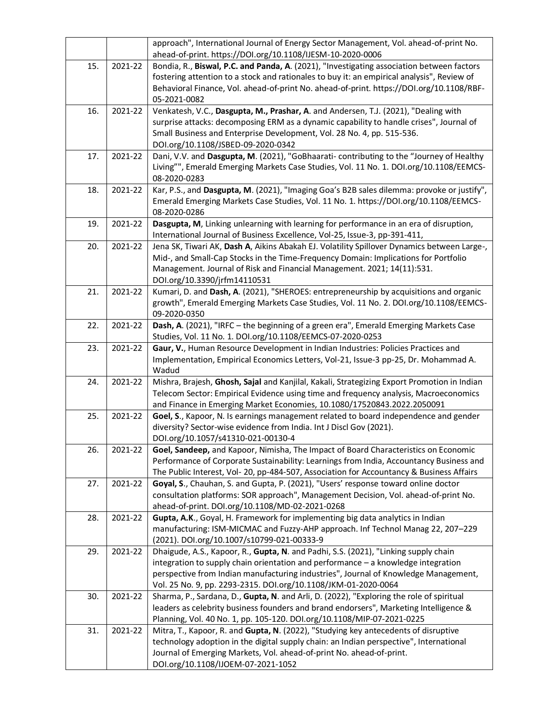|     |         | approach", International Journal of Energy Sector Management, Vol. ahead-of-print No.<br>ahead-of-print. https://DOI.org/10.1108/IJESM-10-2020-0006                                                                                                                                                                               |
|-----|---------|-----------------------------------------------------------------------------------------------------------------------------------------------------------------------------------------------------------------------------------------------------------------------------------------------------------------------------------|
| 15. | 2021-22 | Bondia, R., Biswal, P.C. and Panda, A. (2021), "Investigating association between factors<br>fostering attention to a stock and rationales to buy it: an empirical analysis", Review of<br>Behavioral Finance, Vol. ahead-of-print No. ahead-of-print. https://DOI.org/10.1108/RBF-<br>05-2021-0082                               |
| 16. | 2021-22 | Venkatesh, V.C., Dasgupta, M., Prashar, A. and Andersen, T.J. (2021), "Dealing with<br>surprise attacks: decomposing ERM as a dynamic capability to handle crises", Journal of<br>Small Business and Enterprise Development, Vol. 28 No. 4, pp. 515-536.<br>DOI.org/10.1108/JSBED-09-2020-0342                                    |
| 17. | 2021-22 | Dani, V.V. and Dasgupta, M. (2021), "GoBhaarati- contributing to the "Journey of Healthy<br>Living"", Emerald Emerging Markets Case Studies, Vol. 11 No. 1. DOI.org/10.1108/EEMCS-<br>08-2020-0283                                                                                                                                |
| 18. | 2021-22 | Kar, P.S., and Dasgupta, M. (2021), "Imaging Goa's B2B sales dilemma: provoke or justify",<br>Emerald Emerging Markets Case Studies, Vol. 11 No. 1. https://DOI.org/10.1108/EEMCS-<br>08-2020-0286                                                                                                                                |
| 19. | 2021-22 | Dasgupta, M, Linking unlearning with learning for performance in an era of disruption,<br>International Journal of Business Excellence, Vol-25, Issue-3, pp-391-411,                                                                                                                                                              |
| 20. | 2021-22 | Jena SK, Tiwari AK, Dash A, Aikins Abakah EJ. Volatility Spillover Dynamics between Large-,<br>Mid-, and Small-Cap Stocks in the Time-Frequency Domain: Implications for Portfolio<br>Management. Journal of Risk and Financial Management. 2021; 14(11):531.<br>DOI.org/10.3390/jrfm14110531                                     |
| 21. | 2021-22 | Kumari, D. and Dash, A. (2021), "SHEROES: entrepreneurship by acquisitions and organic<br>growth", Emerald Emerging Markets Case Studies, Vol. 11 No. 2. DOI.org/10.1108/EEMCS-<br>09-2020-0350                                                                                                                                   |
| 22. | 2021-22 | Dash, A. (2021), "IRFC - the beginning of a green era", Emerald Emerging Markets Case<br>Studies, Vol. 11 No. 1. DOI.org/10.1108/EEMCS-07-2020-0253                                                                                                                                                                               |
| 23. | 2021-22 | Gaur, V., Human Resource Development in Indian Industries: Policies Practices and<br>Implementation, Empirical Economics Letters, Vol-21, Issue-3 pp-25, Dr. Mohammad A.<br>Wadud                                                                                                                                                 |
| 24. | 2021-22 | Mishra, Brajesh, Ghosh, Sajal and Kanjilal, Kakali, Strategizing Export Promotion in Indian<br>Telecom Sector: Empirical Evidence using time and frequency analysis, Macroeconomics<br>and Finance in Emerging Market Economies, 10.1080/17520843.2022.2050091                                                                    |
| 25. | 2021-22 | Goel, S., Kapoor, N. Is earnings management related to board independence and gender<br>diversity? Sector-wise evidence from India. Int J Discl Gov (2021).<br>DOI.org/10.1057/s41310-021-00130-4                                                                                                                                 |
| 26. | 2021-22 | Goel, Sandeep, and Kapoor, Nimisha, The Impact of Board Characteristics on Economic<br>Performance of Corporate Sustainability: Learnings from India, Accountancy Business and<br>The Public Interest, Vol- 20, pp-484-507, Association for Accountancy & Business Affairs                                                        |
| 27. | 2021-22 | Goyal, S., Chauhan, S. and Gupta, P. (2021), "Users' response toward online doctor<br>consultation platforms: SOR approach", Management Decision, Vol. ahead-of-print No.<br>ahead-of-print. DOI.org/10.1108/MD-02-2021-0268                                                                                                      |
| 28. | 2021-22 | Gupta, A.K., Goyal, H. Framework for implementing big data analytics in Indian<br>manufacturing: ISM-MICMAC and Fuzzy-AHP approach. Inf Technol Manag 22, 207-229<br>(2021). DOI.org/10.1007/s10799-021-00333-9                                                                                                                   |
| 29. | 2021-22 | Dhaigude, A.S., Kapoor, R., Gupta, N. and Padhi, S.S. (2021), "Linking supply chain<br>integration to supply chain orientation and performance - a knowledge integration<br>perspective from Indian manufacturing industries", Journal of Knowledge Management,<br>Vol. 25 No. 9, pp. 2293-2315. DOI.org/10.1108/JKM-01-2020-0064 |
| 30. | 2021-22 | Sharma, P., Sardana, D., Gupta, N. and Arli, D. (2022), "Exploring the role of spiritual<br>leaders as celebrity business founders and brand endorsers", Marketing Intelligence &<br>Planning, Vol. 40 No. 1, pp. 105-120. DOI.org/10.1108/MIP-07-2021-0225                                                                       |
| 31. | 2021-22 | Mitra, T., Kapoor, R. and Gupta, N. (2022), "Studying key antecedents of disruptive<br>technology adoption in the digital supply chain: an Indian perspective", International<br>Journal of Emerging Markets, Vol. ahead-of-print No. ahead-of-print.<br>DOI.org/10.1108/IJOEM-07-2021-1052                                       |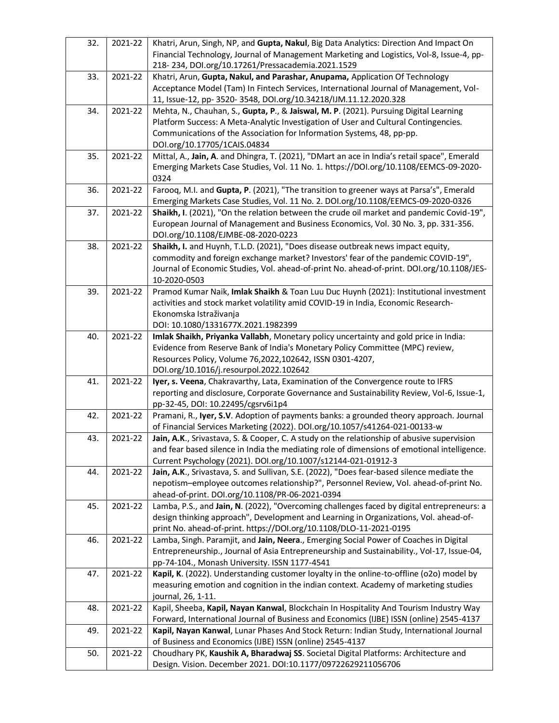| 32. | 2021-22 | Khatri, Arun, Singh, NP, and Gupta, Nakul, Big Data Analytics: Direction And Impact On<br>Financial Technology, Journal of Management Marketing and Logistics, Vol-8, Issue-4, pp-<br>218-234, DOI.org/10.17261/Pressacademia.2021.1529    |
|-----|---------|--------------------------------------------------------------------------------------------------------------------------------------------------------------------------------------------------------------------------------------------|
| 33. | 2021-22 | Khatri, Arun, Gupta, Nakul, and Parashar, Anupama, Application Of Technology<br>Acceptance Model (Tam) In Fintech Services, International Journal of Management, Vol-<br>11, Issue-12, pp- 3520- 3548, DOI.org/10.34218/IJM.11.12.2020.328 |
| 34. | 2021-22 | Mehta, N., Chauhan, S., Gupta, P., & Jaiswal, M. P. (2021). Pursuing Digital Learning                                                                                                                                                      |
|     |         | Platform Success: A Meta-Analytic Investigation of User and Cultural Contingencies.                                                                                                                                                        |
|     |         | Communications of the Association for Information Systems, 48, pp-pp.                                                                                                                                                                      |
|     |         | DOI.org/10.17705/1CAIS.04834                                                                                                                                                                                                               |
| 35. | 2021-22 | Mittal, A., Jain, A. and Dhingra, T. (2021), "DMart an ace in India's retail space", Emerald                                                                                                                                               |
|     |         | Emerging Markets Case Studies, Vol. 11 No. 1. https://DOI.org/10.1108/EEMCS-09-2020-                                                                                                                                                       |
|     |         | 0324                                                                                                                                                                                                                                       |
| 36. | 2021-22 | Farooq, M.I. and Gupta, P. (2021), "The transition to greener ways at Parsa's", Emerald                                                                                                                                                    |
|     |         | Emerging Markets Case Studies, Vol. 11 No. 2. DOI.org/10.1108/EEMCS-09-2020-0326                                                                                                                                                           |
| 37. | 2021-22 | Shaikh, I. (2021), "On the relation between the crude oil market and pandemic Covid-19",                                                                                                                                                   |
|     |         | European Journal of Management and Business Economics, Vol. 30 No. 3, pp. 331-356.                                                                                                                                                         |
|     |         | DOI.org/10.1108/EJMBE-08-2020-0223                                                                                                                                                                                                         |
| 38. | 2021-22 | Shaikh, I. and Huynh, T.L.D. (2021), "Does disease outbreak news impact equity,                                                                                                                                                            |
|     |         | commodity and foreign exchange market? Investors' fear of the pandemic COVID-19",                                                                                                                                                          |
|     |         | Journal of Economic Studies, Vol. ahead-of-print No. ahead-of-print. DOI.org/10.1108/JES-                                                                                                                                                  |
|     |         | 10-2020-0503                                                                                                                                                                                                                               |
| 39. | 2021-22 | Pramod Kumar Naik, Imlak Shaikh & Toan Luu Duc Huynh (2021): Institutional investment                                                                                                                                                      |
|     |         | activities and stock market volatility amid COVID-19 in India, Economic Research-                                                                                                                                                          |
|     |         | Ekonomska Istraživanja                                                                                                                                                                                                                     |
|     |         | DOI: 10.1080/1331677X.2021.1982399                                                                                                                                                                                                         |
| 40. | 2021-22 | Imlak Shaikh, Priyanka Vallabh, Monetary policy uncertainty and gold price in India:                                                                                                                                                       |
|     |         | Evidence from Reserve Bank of India's Monetary Policy Committee (MPC) review,                                                                                                                                                              |
|     |         | Resources Policy, Volume 76,2022,102642, ISSN 0301-4207,                                                                                                                                                                                   |
|     |         | DOI.org/10.1016/j.resourpol.2022.102642                                                                                                                                                                                                    |
| 41. | 2021-22 | Iyer, s. Veena, Chakravarthy, Lata, Examination of the Convergence route to IFRS                                                                                                                                                           |
|     |         | reporting and disclosure, Corporate Governance and Sustainability Review, Vol-6, Issue-1,                                                                                                                                                  |
|     |         | pp-32-45, DOI: 10.22495/cgsrv6i1p4                                                                                                                                                                                                         |
| 42. | 2021-22 | Pramani, R., Iyer, S.V. Adoption of payments banks: a grounded theory approach. Journal                                                                                                                                                    |
|     |         | of Financial Services Marketing (2022). DOI.org/10.1057/s41264-021-00133-w                                                                                                                                                                 |
| 43. | 2021-22 | Jain, A.K., Srivastava, S. & Cooper, C. A study on the relationship of abusive supervision                                                                                                                                                 |
|     |         | and fear based silence in India the mediating role of dimensions of emotional intelligence.                                                                                                                                                |
|     |         | Current Psychology (2021). DOI.org/10.1007/s12144-021-01912-3                                                                                                                                                                              |
| 44. | 2021-22 | Jain, A.K., Srivastava, S. and Sullivan, S.E. (2022), "Does fear-based silence mediate the                                                                                                                                                 |
|     |         | nepotism-employee outcomes relationship?", Personnel Review, Vol. ahead-of-print No.                                                                                                                                                       |
|     |         | ahead-of-print. DOI.org/10.1108/PR-06-2021-0394                                                                                                                                                                                            |
| 45. | 2021-22 | Lamba, P.S., and Jain, N. (2022), "Overcoming challenges faced by digital entrepreneurs: a                                                                                                                                                 |
|     |         | design thinking approach", Development and Learning in Organizations, Vol. ahead-of-                                                                                                                                                       |
|     |         | print No. ahead-of-print. https://DOI.org/10.1108/DLO-11-2021-0195                                                                                                                                                                         |
| 46. | 2021-22 | Lamba, Singh. Paramjit, and Jain, Neera., Emerging Social Power of Coaches in Digital                                                                                                                                                      |
|     |         | Entrepreneurship., Journal of Asia Entrepreneurship and Sustainability., Vol-17, Issue-04,                                                                                                                                                 |
|     |         | pp-74-104., Monash University. ISSN 1177-4541                                                                                                                                                                                              |
| 47. | 2021-22 | Kapil, K. (2022). Understanding customer loyalty in the online-to-offline (020) model by                                                                                                                                                   |
|     |         | measuring emotion and cognition in the indian context. Academy of marketing studies                                                                                                                                                        |
|     |         | journal, 26, 1-11.                                                                                                                                                                                                                         |
| 48. | 2021-22 | Kapil, Sheeba, Kapil, Nayan Kanwal, Blockchain In Hospitality And Tourism Industry Way                                                                                                                                                     |
|     |         | Forward, International Journal of Business and Economics (IJBE) ISSN (online) 2545-4137                                                                                                                                                    |
| 49. | 2021-22 | Kapil, Nayan Kanwal, Lunar Phases And Stock Return: Indian Study, International Journal                                                                                                                                                    |
|     |         | of Business and Economics (IJBE) ISSN (online) 2545-4137                                                                                                                                                                                   |
| 50. | 2021-22 | Choudhary PK, Kaushik A, Bharadwaj SS. Societal Digital Platforms: Architecture and                                                                                                                                                        |
|     |         | Design. Vision. December 2021. DOI:10.1177/09722629211056706                                                                                                                                                                               |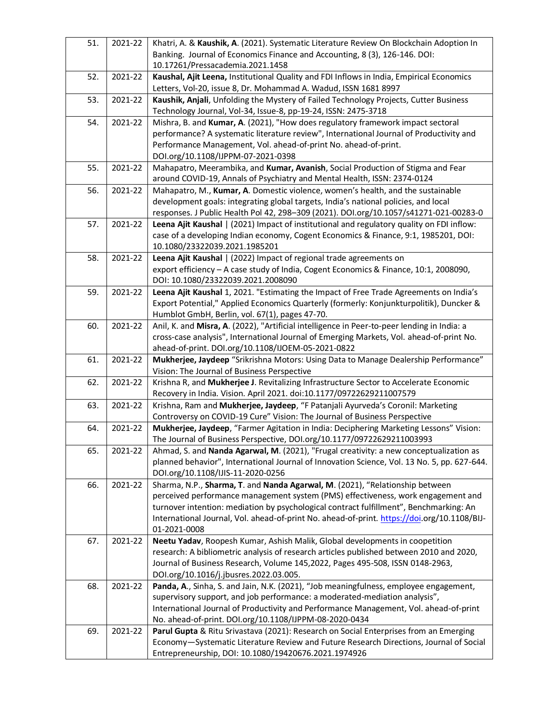| 51. | 2021-22 | Khatri, A. & Kaushik, A. (2021). Systematic Literature Review On Blockchain Adoption In                                                   |
|-----|---------|-------------------------------------------------------------------------------------------------------------------------------------------|
|     |         | Banking. Journal of Economics Finance and Accounting, 8 (3), 126-146. DOI:                                                                |
|     |         | 10.17261/Pressacademia.2021.1458                                                                                                          |
| 52. | 2021-22 | Kaushal, Ajit Leena, Institutional Quality and FDI Inflows in India, Empirical Economics                                                  |
|     |         | Letters, Vol-20, issue 8, Dr. Mohammad A. Wadud, ISSN 1681 8997                                                                           |
| 53. | 2021-22 | Kaushik, Anjali, Unfolding the Mystery of Failed Technology Projects, Cutter Business                                                     |
|     |         | Technology Journal, Vol-34, Issue-8, pp-19-24, ISSN: 2475-3718                                                                            |
| 54. | 2021-22 | Mishra, B. and Kumar, A. (2021), "How does regulatory framework impact sectoral                                                           |
|     |         | performance? A systematic literature review", International Journal of Productivity and                                                   |
|     |         | Performance Management, Vol. ahead-of-print No. ahead-of-print.                                                                           |
|     |         | DOI.org/10.1108/IJPPM-07-2021-0398                                                                                                        |
| 55. | 2021-22 | Mahapatro, Meerambika, and Kumar, Avanish, Social Production of Stigma and Fear                                                           |
|     |         | around COVID-19, Annals of Psychiatry and Mental Health, ISSN: 2374-0124                                                                  |
| 56. | 2021-22 | Mahapatro, M., Kumar, A. Domestic violence, women's health, and the sustainable                                                           |
|     |         | development goals: integrating global targets, India's national policies, and local                                                       |
|     |         | responses. J Public Health Pol 42, 298-309 (2021). DOI.org/10.1057/s41271-021-00283-0                                                     |
| 57. | 2021-22 | Leena Ajit Kaushal   (2021) Impact of institutional and regulatory quality on FDI inflow:                                                 |
|     |         | case of a developing Indian economy, Cogent Economics & Finance, 9:1, 1985201, DOI:                                                       |
|     |         | 10.1080/23322039.2021.1985201                                                                                                             |
| 58. | 2021-22 | Leena Ajit Kaushal   (2022) Impact of regional trade agreements on                                                                        |
|     |         | export efficiency - A case study of India, Cogent Economics & Finance, 10:1, 2008090,                                                     |
|     |         | DOI: 10.1080/23322039.2021.2008090                                                                                                        |
| 59. | 2021-22 | Leena Ajit Kaushal 1, 2021. "Estimating the Impact of Free Trade Agreements on India's                                                    |
|     |         | Export Potential," Applied Economics Quarterly (formerly: Konjunkturpolitik), Duncker &                                                   |
|     |         | Humblot GmbH, Berlin, vol. 67(1), pages 47-70.                                                                                            |
| 60. | 2021-22 | Anil, K. and Misra, A. (2022), "Artificial intelligence in Peer-to-peer lending in India: a                                               |
|     |         | cross-case analysis", International Journal of Emerging Markets, Vol. ahead-of-print No.                                                  |
| 61. | 2021-22 | ahead-of-print. DOI.org/10.1108/IJOEM-05-2021-0822<br>Mukherjee, Jaydeep "Srikrishna Motors: Using Data to Manage Dealership Performance" |
|     |         | Vision: The Journal of Business Perspective                                                                                               |
| 62. | 2021-22 | Krishna R, and Mukherjee J. Revitalizing Infrastructure Sector to Accelerate Economic                                                     |
|     |         | Recovery in India. Vision. April 2021. doi:10.1177/09722629211007579                                                                      |
| 63. | 2021-22 | Krishna, Ram and Mukherjee, Jaydeep, "F Patanjali Ayurveda's Coronil: Marketing                                                           |
|     |         | Controversy on COVID-19 Cure" Vision: The Journal of Business Perspective                                                                 |
| 64. | 2021-22 | Mukherjee, Jaydeep, "Farmer Agitation in India: Deciphering Marketing Lessons" Vision:                                                    |
|     |         | The Journal of Business Perspective, DOI.org/10.1177/09722629211003993                                                                    |
| 65. | 2021-22 | Ahmad, S. and Nanda Agarwal, M. (2021), "Frugal creativity: a new conceptualization as                                                    |
|     |         | planned behavior", International Journal of Innovation Science, Vol. 13 No. 5, pp. 627-644.                                               |
|     |         | DOI.org/10.1108/IJIS-11-2020-0256                                                                                                         |
| 66. | 2021-22 | Sharma, N.P., Sharma, T. and Nanda Agarwal, M. (2021), "Relationship between                                                              |
|     |         | perceived performance management system (PMS) effectiveness, work engagement and                                                          |
|     |         | turnover intention: mediation by psychological contract fulfillment", Benchmarking: An                                                    |
|     |         | International Journal, Vol. ahead-of-print No. ahead-of-print. https://doi.org/10.1108/BIJ-                                               |
|     |         | 01-2021-0008                                                                                                                              |
| 67. | 2021-22 | Neetu Yadav, Roopesh Kumar, Ashish Malik, Global developments in coopetition                                                              |
|     |         | research: A bibliometric analysis of research articles published between 2010 and 2020,                                                   |
|     |         | Journal of Business Research, Volume 145,2022, Pages 495-508, ISSN 0148-2963,                                                             |
|     |         | DOI.org/10.1016/j.jbusres.2022.03.005.                                                                                                    |
| 68. | 2021-22 | Panda, A., Sinha, S. and Jain, N.K. (2021), "Job meaningfulness, employee engagement,                                                     |
|     |         | supervisory support, and job performance: a moderated-mediation analysis",                                                                |
|     |         | International Journal of Productivity and Performance Management, Vol. ahead-of-print                                                     |
|     |         | No. ahead-of-print. DOI.org/10.1108/IJPPM-08-2020-0434                                                                                    |
| 69. | 2021-22 | Parul Gupta & Ritu Srivastava (2021): Research on Social Enterprises from an Emerging                                                     |
|     |         | Economy-Systematic Literature Review and Future Research Directions, Journal of Social                                                    |
|     |         | Entrepreneurship, DOI: 10.1080/19420676.2021.1974926                                                                                      |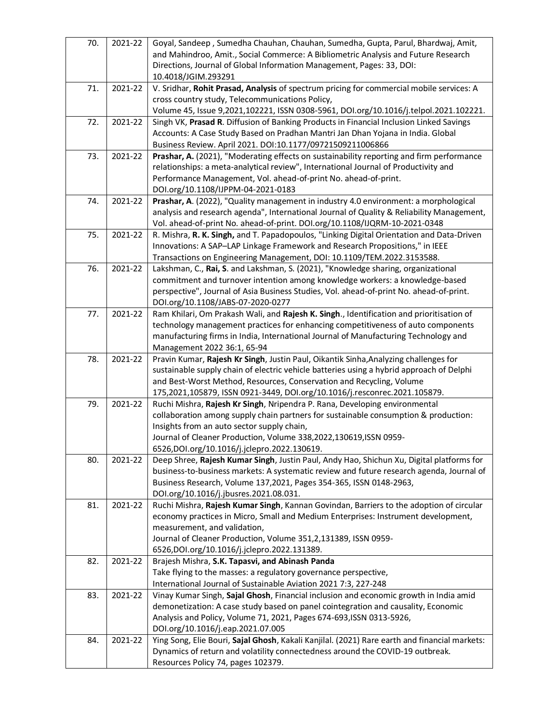| 70. | 2021-22 | Goyal, Sandeep, Sumedha Chauhan, Chauhan, Sumedha, Gupta, Parul, Bhardwaj, Amit,<br>and Mahindroo, Amit., Social Commerce: A Bibliometric Analysis and Future Research<br>Directions, Journal of Global Information Management, Pages: 33, DOI:<br>10.4018/JGIM.293291 |
|-----|---------|------------------------------------------------------------------------------------------------------------------------------------------------------------------------------------------------------------------------------------------------------------------------|
| 71. | 2021-22 | V. Sridhar, Rohit Prasad, Analysis of spectrum pricing for commercial mobile services: A                                                                                                                                                                               |
|     |         | cross country study, Telecommunications Policy,                                                                                                                                                                                                                        |
|     |         | Volume 45, Issue 9,2021,102221, ISSN 0308-5961, DOI.org/10.1016/j.telpol.2021.102221.                                                                                                                                                                                  |
| 72. | 2021-22 | Singh VK, Prasad R. Diffusion of Banking Products in Financial Inclusion Linked Savings<br>Accounts: A Case Study Based on Pradhan Mantri Jan Dhan Yojana in India. Global<br>Business Review. April 2021. DOI:10.1177/09721509211006866                               |
| 73. | 2021-22 | Prashar, A. (2021), "Moderating effects on sustainability reporting and firm performance<br>relationships: a meta-analytical review", International Journal of Productivity and                                                                                        |
|     |         | Performance Management, Vol. ahead-of-print No. ahead-of-print.                                                                                                                                                                                                        |
|     |         | DOI.org/10.1108/IJPPM-04-2021-0183                                                                                                                                                                                                                                     |
| 74. | 2021-22 | Prashar, A. (2022), "Quality management in industry 4.0 environment: a morphological                                                                                                                                                                                   |
|     |         | analysis and research agenda", International Journal of Quality & Reliability Management,<br>Vol. ahead-of-print No. ahead-of-print. DOI.org/10.1108/IJQRM-10-2021-0348                                                                                                |
| 75. | 2021-22 | R. Mishra, R. K. Singh, and T. Papadopoulos, "Linking Digital Orientation and Data-Driven                                                                                                                                                                              |
|     |         | Innovations: A SAP-LAP Linkage Framework and Research Propositions," in IEEE                                                                                                                                                                                           |
|     |         | Transactions on Engineering Management, DOI: 10.1109/TEM.2022.3153588.                                                                                                                                                                                                 |
| 76. | 2021-22 | Lakshman, C., Rai, S. and Lakshman, S. (2021), "Knowledge sharing, organizational                                                                                                                                                                                      |
|     |         | commitment and turnover intention among knowledge workers: a knowledge-based                                                                                                                                                                                           |
|     |         | perspective", Journal of Asia Business Studies, Vol. ahead-of-print No. ahead-of-print.                                                                                                                                                                                |
|     |         | DOI.org/10.1108/JABS-07-2020-0277                                                                                                                                                                                                                                      |
| 77. | 2021-22 | Ram Khilari, Om Prakash Wali, and Rajesh K. Singh., Identification and prioritisation of                                                                                                                                                                               |
|     |         | technology management practices for enhancing competitiveness of auto components                                                                                                                                                                                       |
|     |         | manufacturing firms in India, International Journal of Manufacturing Technology and                                                                                                                                                                                    |
|     |         | Management 2022 36:1, 65-94                                                                                                                                                                                                                                            |
| 78. | 2021-22 | Pravin Kumar, Rajesh Kr Singh, Justin Paul, Oikantik Sinha, Analyzing challenges for<br>sustainable supply chain of electric vehicle batteries using a hybrid approach of Delphi                                                                                       |
|     |         | and Best-Worst Method, Resources, Conservation and Recycling, Volume                                                                                                                                                                                                   |
|     |         | 175,2021,105879, ISSN 0921-3449, DOI.org/10.1016/j.resconrec.2021.105879.                                                                                                                                                                                              |
|     |         | Ruchi Mishra, Rajesh Kr Singh, Nripendra P. Rana, Developing environmental                                                                                                                                                                                             |
|     |         |                                                                                                                                                                                                                                                                        |
| 79. | 2021-22 |                                                                                                                                                                                                                                                                        |
|     |         | collaboration among supply chain partners for sustainable consumption & production:                                                                                                                                                                                    |
|     |         | Insights from an auto sector supply chain,<br>Journal of Cleaner Production, Volume 338,2022,130619,ISSN 0959-                                                                                                                                                         |
|     |         | 6526, DOI.org/10.1016/j.jclepro. 2022.130619.                                                                                                                                                                                                                          |
| 80. | 2021-22 | Deep Shree, Rajesh Kumar Singh, Justin Paul, Andy Hao, Shichun Xu, Digital platforms for                                                                                                                                                                               |
|     |         | business-to-business markets: A systematic review and future research agenda, Journal of                                                                                                                                                                               |
|     |         | Business Research, Volume 137,2021, Pages 354-365, ISSN 0148-2963,                                                                                                                                                                                                     |
|     |         | DOI.org/10.1016/j.jbusres.2021.08.031.                                                                                                                                                                                                                                 |
| 81. | 2021-22 | Ruchi Mishra, Rajesh Kumar Singh, Kannan Govindan, Barriers to the adoption of circular                                                                                                                                                                                |
|     |         | economy practices in Micro, Small and Medium Enterprises: Instrument development,                                                                                                                                                                                      |
|     |         | measurement, and validation,                                                                                                                                                                                                                                           |
|     |         | Journal of Cleaner Production, Volume 351,2,131389, ISSN 0959-                                                                                                                                                                                                         |
|     |         | 6526, DOI.org/10.1016/j.jclepro. 2022.131389.                                                                                                                                                                                                                          |
| 82. | 2021-22 | Brajesh Mishra, S.K. Tapasvi, and Abinash Panda                                                                                                                                                                                                                        |
|     |         | Take flying to the masses: a regulatory governance perspective,                                                                                                                                                                                                        |
|     |         | International Journal of Sustainable Aviation 2021 7:3, 227-248                                                                                                                                                                                                        |
| 83. | 2021-22 | Vinay Kumar Singh, Sajal Ghosh, Financial inclusion and economic growth in India amid                                                                                                                                                                                  |
|     |         | demonetization: A case study based on panel cointegration and causality, Economic                                                                                                                                                                                      |
|     |         | Analysis and Policy, Volume 71, 2021, Pages 674-693, ISSN 0313-5926,<br>DOI.org/10.1016/j.eap.2021.07.005                                                                                                                                                              |
| 84. | 2021-22 | Ying Song, Elie Bouri, Sajal Ghosh, Kakali Kanjilal. (2021) Rare earth and financial markets:                                                                                                                                                                          |
|     |         | Dynamics of return and volatility connectedness around the COVID-19 outbreak.<br>Resources Policy 74, pages 102379.                                                                                                                                                    |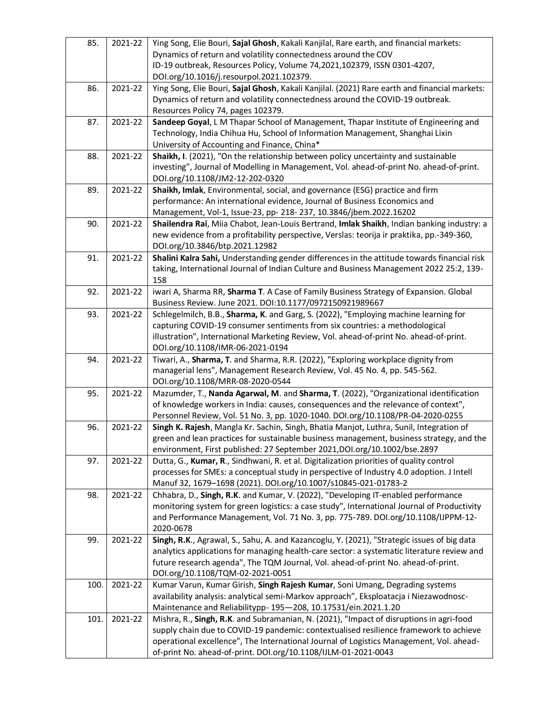| 85.  | 2021-22 | Ying Song, Elie Bouri, Sajal Ghosh, Kakali Kanjilal, Rare earth, and financial markets:<br>Dynamics of return and volatility connectedness around the COV |
|------|---------|-----------------------------------------------------------------------------------------------------------------------------------------------------------|
|      |         | ID-19 outbreak, Resources Policy, Volume 74,2021,102379, ISSN 0301-4207,<br>DOI.org/10.1016/j.resourpol.2021.102379.                                      |
| 86.  | 2021-22 | Ying Song, Elie Bouri, Sajal Ghosh, Kakali Kanjilal. (2021) Rare earth and financial markets:                                                             |
|      |         | Dynamics of return and volatility connectedness around the COVID-19 outbreak.                                                                             |
|      |         | Resources Policy 74, pages 102379.                                                                                                                        |
| 87.  | 2021-22 | Sandeep Goyal, L M Thapar School of Management, Thapar Institute of Engineering and                                                                       |
|      |         | Technology, India Chihua Hu, School of Information Management, Shanghai Lixin                                                                             |
|      |         | University of Accounting and Finance, China*                                                                                                              |
| 88.  | 2021-22 | Shaikh, I. (2021), "On the relationship between policy uncertainty and sustainable                                                                        |
|      |         | investing", Journal of Modelling in Management, Vol. ahead-of-print No. ahead-of-print.                                                                   |
|      |         | DOI.org/10.1108/JM2-12-202-0320                                                                                                                           |
| 89.  | 2021-22 | Shaikh, Imlak, Environmental, social, and governance (ESG) practice and firm                                                                              |
|      |         | performance: An international evidence, Journal of Business Economics and                                                                                 |
|      |         | Management, Vol-1, Issue-23, pp- 218- 237, 10.3846/jbem.2022.16202                                                                                        |
| 90.  | 2021-22 | Shailendra Rai, Miia Chabot, Jean-Louis Bertrand, Imlak Shaikh, Indian banking industry: a                                                                |
|      |         | new evidence from a profitability perspective, Verslas: teorija ir praktika, pp.-349-360,                                                                 |
|      |         | DOI.org/10.3846/btp.2021.12982                                                                                                                            |
| 91.  | 2021-22 | Shalini Kalra Sahi, Understanding gender differences in the attitude towards financial risk                                                               |
|      |         | taking, International Journal of Indian Culture and Business Management 2022 25:2, 139-<br>158                                                            |
| 92.  | 2021-22 | iwari A, Sharma RR, Sharma T. A Case of Family Business Strategy of Expansion. Global                                                                     |
|      |         | Business Review. June 2021. DOI:10.1177/0972150921989667                                                                                                  |
| 93.  | 2021-22 | Schlegelmilch, B.B., Sharma, K. and Garg, S. (2022), "Employing machine learning for                                                                      |
|      |         | capturing COVID-19 consumer sentiments from six countries: a methodological                                                                               |
|      |         | illustration", International Marketing Review, Vol. ahead-of-print No. ahead-of-print.                                                                    |
|      |         | DOI.org/10.1108/IMR-06-2021-0194                                                                                                                          |
| 94.  | 2021-22 | Tiwari, A., Sharma, T. and Sharma, R.R. (2022), "Exploring workplace dignity from                                                                         |
|      |         | managerial lens", Management Research Review, Vol. 45 No. 4, pp. 545-562.                                                                                 |
|      |         | DOI.org/10.1108/MRR-08-2020-0544                                                                                                                          |
| 95.  | 2021-22 | Mazumder, T., Nanda Agarwal, M. and Sharma, T. (2022), "Organizational identification                                                                     |
|      |         | of knowledge workers in India: causes, consequences and the relevance of context",                                                                        |
|      |         | Personnel Review, Vol. 51 No. 3, pp. 1020-1040. DOI.org/10.1108/PR-04-2020-0255                                                                           |
| 96.  | 2021-22 | Singh K. Rajesh, Mangla Kr. Sachin, Singh, Bhatia Manjot, Luthra, Sunil, Integration of                                                                   |
|      |         | green and lean practices for sustainable business management, business strategy, and the                                                                  |
|      |         | environment, First published: 27 September 2021, DOI.org/10.1002/bse.2897                                                                                 |
| 97.  | 2021-22 | Dutta, G., Kumar, R., Sindhwani, R. et al. Digitalization priorities of quality control                                                                   |
|      |         | processes for SMEs: a conceptual study in perspective of Industry 4.0 adoption. J Intell                                                                  |
|      |         | Manuf 32, 1679-1698 (2021). DOI.org/10.1007/s10845-021-01783-2<br>Chhabra, D., Singh, R.K. and Kumar, V. (2022), "Developing IT-enabled performance       |
| 98.  | 2021-22 | monitoring system for green logistics: a case study", International Journal of Productivity                                                               |
|      |         | and Performance Management, Vol. 71 No. 3, pp. 775-789. DOI.org/10.1108/IJPPM-12-                                                                         |
|      |         | 2020-0678                                                                                                                                                 |
| 99.  | 2021-22 | Singh, R.K., Agrawal, S., Sahu, A. and Kazancoglu, Y. (2021), "Strategic issues of big data                                                               |
|      |         | analytics applications for managing health-care sector: a systematic literature review and                                                                |
|      |         | future research agenda", The TQM Journal, Vol. ahead-of-print No. ahead-of-print.                                                                         |
|      |         | DOI.org/10.1108/TQM-02-2021-0051                                                                                                                          |
| 100. | 2021-22 | Kumar Varun, Kumar Girish, Singh Rajesh Kumar, Soni Umang, Degrading systems                                                                              |
|      |         | availability analysis: analytical semi-Markov approach", Eksploatacja i Niezawodnosc-                                                                     |
|      |         | Maintenance and Reliabilitypp- 195-208, 10.17531/ein.2021.1.20                                                                                            |
| 101. | 2021-22 | Mishra, R., Singh, R.K. and Subramanian, N. (2021), "Impact of disruptions in agri-food                                                                   |
|      |         | supply chain due to COVID-19 pandemic: contextualised resilience framework to achieve                                                                     |
|      |         | operational excellence", The International Journal of Logistics Management, Vol. ahead-                                                                   |
|      |         | of-print No. ahead-of-print. DOI.org/10.1108/IJLM-01-2021-0043                                                                                            |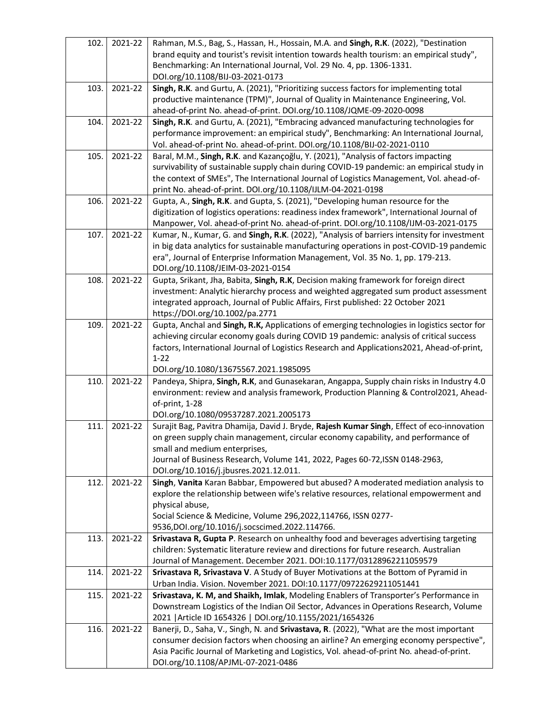| 102. | 2021-22 | Rahman, M.S., Bag, S., Hassan, H., Hossain, M.A. and Singh, R.K. (2022), "Destination<br>brand equity and tourist's revisit intention towards health tourism: an empirical study",<br>Benchmarking: An International Journal, Vol. 29 No. 4, pp. 1306-1331.<br>DOI.org/10.1108/BIJ-03-2021-0173                                            |
|------|---------|--------------------------------------------------------------------------------------------------------------------------------------------------------------------------------------------------------------------------------------------------------------------------------------------------------------------------------------------|
| 103. | 2021-22 | Singh, R.K. and Gurtu, A. (2021), "Prioritizing success factors for implementing total<br>productive maintenance (TPM)", Journal of Quality in Maintenance Engineering, Vol.<br>ahead-of-print No. ahead-of-print. DOI.org/10.1108/JQME-09-2020-0098                                                                                       |
| 104. | 2021-22 | Singh, R.K. and Gurtu, A. (2021), "Embracing advanced manufacturing technologies for<br>performance improvement: an empirical study", Benchmarking: An International Journal,<br>Vol. ahead-of-print No. ahead-of-print. DOI.org/10.1108/BIJ-02-2021-0110                                                                                  |
| 105. | 2021-22 | Baral, M.M., Singh, R.K. and Kazançoğlu, Y. (2021), "Analysis of factors impacting<br>survivability of sustainable supply chain during COVID-19 pandemic: an empirical study in<br>the context of SMEs", The International Journal of Logistics Management, Vol. ahead-of-<br>print No. ahead-of-print. DOI.org/10.1108/IJLM-04-2021-0198  |
| 106. | 2021-22 | Gupta, A., Singh, R.K. and Gupta, S. (2021), "Developing human resource for the<br>digitization of logistics operations: readiness index framework", International Journal of<br>Manpower, Vol. ahead-of-print No. ahead-of-print. DOI.org/10.1108/IJM-03-2021-0175                                                                        |
| 107. | 2021-22 | Kumar, N., Kumar, G. and Singh, R.K. (2022), "Analysis of barriers intensity for investment<br>in big data analytics for sustainable manufacturing operations in post-COVID-19 pandemic<br>era", Journal of Enterprise Information Management, Vol. 35 No. 1, pp. 179-213.<br>DOI.org/10.1108/JEIM-03-2021-0154                            |
| 108. | 2021-22 | Gupta, Srikant, Jha, Babita, Singh, R.K, Decision making framework for foreign direct<br>investment: Analytic hierarchy process and weighted aggregated sum product assessment<br>integrated approach, Journal of Public Affairs, First published: 22 October 2021<br>https://DOI.org/10.1002/pa.2771                                      |
| 109. | 2021-22 | Gupta, Anchal and Singh, R.K, Applications of emerging technologies in logistics sector for<br>achieving circular economy goals during COVID 19 pandemic: analysis of critical success<br>factors, International Journal of Logistics Research and Applications2021, Ahead-of-print,<br>$1 - 22$<br>DOI.org/10.1080/13675567.2021.1985095  |
| 110. | 2021-22 | Pandeya, Shipra, Singh, R.K, and Gunasekaran, Angappa, Supply chain risks in Industry 4.0<br>environment: review and analysis framework, Production Planning & Control2021, Ahead-<br>of-print, 1-28<br>DOI.org/10.1080/09537287.2021.2005173                                                                                              |
| 111. | 2021-22 | Surajit Bag, Pavitra Dhamija, David J. Bryde, Rajesh Kumar Singh, Effect of eco-innovation<br>on green supply chain management, circular economy capability, and performance of<br>small and medium enterprises,<br>Journal of Business Research, Volume 141, 2022, Pages 60-72, ISSN 0148-2963,<br>DOI.org/10.1016/j.jbusres.2021.12.011. |
| 112. | 2021-22 | Singh, Vanita Karan Babbar, Empowered but abused? A moderated mediation analysis to<br>explore the relationship between wife's relative resources, relational empowerment and<br>physical abuse,<br>Social Science & Medicine, Volume 296,2022,114766, ISSN 0277-<br>9536, DOI.org/10.1016/j.socscimed. 2022.114766.                       |
| 113. | 2021-22 | Srivastava R, Gupta P. Research on unhealthy food and beverages advertising targeting<br>children: Systematic literature review and directions for future research. Australian<br>Journal of Management. December 2021. DOI:10.1177/03128962211059579                                                                                      |
| 114. | 2021-22 | Srivastava R, Srivastava V. A Study of Buyer Motivations at the Bottom of Pyramid in<br>Urban India. Vision. November 2021. DOI:10.1177/09722629211051441                                                                                                                                                                                  |
| 115. | 2021-22 | Srivastava, K. M, and Shaikh, Imlak, Modeling Enablers of Transporter's Performance in<br>Downstream Logistics of the Indian Oil Sector, Advances in Operations Research, Volume<br>2021   Article ID 1654326   DOI.org/10.1155/2021/1654326                                                                                               |
| 116. | 2021-22 | Banerji, D., Saha, V., Singh, N. and Srivastava, R. (2022), "What are the most important<br>consumer decision factors when choosing an airline? An emerging economy perspective",<br>Asia Pacific Journal of Marketing and Logistics, Vol. ahead-of-print No. ahead-of-print.<br>DOI.org/10.1108/APJML-07-2021-0486                        |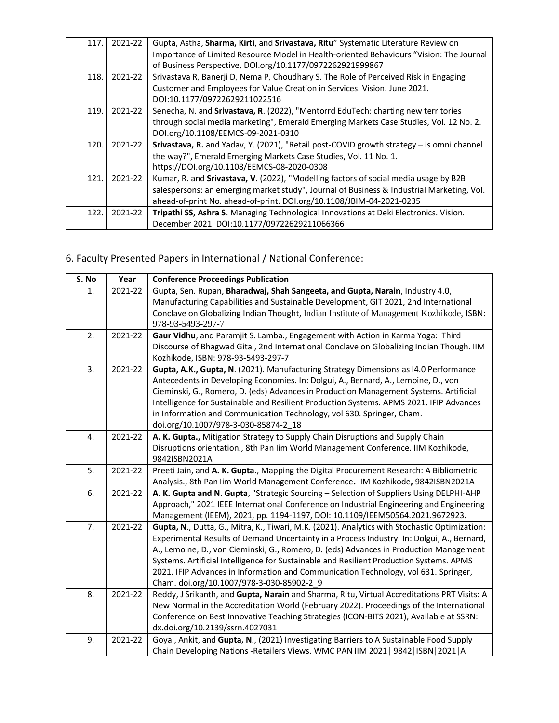| 117. | 2021-22 | Gupta, Astha, Sharma, Kirti, and Srivastava, Ritu" Systematic Literature Review on<br>Importance of Limited Resource Model in Health-oriented Behaviours "Vision: The Journal<br>of Business Perspective, DOI.org/10.1177/0972262921999867                |
|------|---------|-----------------------------------------------------------------------------------------------------------------------------------------------------------------------------------------------------------------------------------------------------------|
| 118. | 2021-22 | Srivastava R, Banerji D, Nema P, Choudhary S. The Role of Perceived Risk in Engaging<br>Customer and Employees for Value Creation in Services. Vision. June 2021.<br>DOI:10.1177/09722629211022516                                                        |
| 119. | 2021-22 | Senecha, N. and Srivastava, R. (2022), "Mentorrd EduTech: charting new territories<br>through social media marketing", Emerald Emerging Markets Case Studies, Vol. 12 No. 2.<br>DOI.org/10.1108/EEMCS-09-2021-0310                                        |
| 120. | 2021-22 | Srivastava, R. and Yadav, Y. (2021), "Retail post-COVID growth strategy - is omni channel<br>the way?", Emerald Emerging Markets Case Studies, Vol. 11 No. 1.<br>https://DOI.org/10.1108/EEMCS-08-2020-0308                                               |
| 121. | 2021-22 | Kumar, R. and Srivastava, V. (2022), "Modelling factors of social media usage by B2B<br>salespersons: an emerging market study", Journal of Business & Industrial Marketing, Vol.<br>ahead-of-print No. ahead-of-print. DOI.org/10.1108/JBIM-04-2021-0235 |
| 122. | 2021-22 | Tripathi SS, Ashra S. Managing Technological Innovations at Deki Electronics. Vision.<br>December 2021. DOI:10.1177/09722629211066366                                                                                                                     |

# 6. Faculty Presented Papers in International / National Conference:

| S. No | Year    | <b>Conference Proceedings Publication</b>                                                                                                                                   |
|-------|---------|-----------------------------------------------------------------------------------------------------------------------------------------------------------------------------|
| 1.    | 2021-22 | Gupta, Sen. Rupan, Bharadwaj, Shah Sangeeta, and Gupta, Narain, Industry 4.0,                                                                                               |
|       |         | Manufacturing Capabilities and Sustainable Development, GIT 2021, 2nd International                                                                                         |
|       |         | Conclave on Globalizing Indian Thought, Indian Institute of Management Kozhikode, ISBN:<br>978-93-5493-297-7                                                                |
| 2.    | 2021-22 | Gaur Vidhu, and Paramjit S. Lamba., Engagement with Action in Karma Yoga: Third                                                                                             |
|       |         | Discourse of Bhagwad Gita., 2nd International Conclave on Globalizing Indian Though. IIM                                                                                    |
|       |         | Kozhikode, ISBN: 978-93-5493-297-7                                                                                                                                          |
| 3.    | 2021-22 | Gupta, A.K., Gupta, N. (2021). Manufacturing Strategy Dimensions as I4.0 Performance                                                                                        |
|       |         | Antecedents in Developing Economies. In: Dolgui, A., Bernard, A., Lemoine, D., von                                                                                          |
|       |         | Cieminski, G., Romero, D. (eds) Advances in Production Management Systems. Artificial                                                                                       |
|       |         | Intelligence for Sustainable and Resilient Production Systems. APMS 2021. IFIP Advances                                                                                     |
|       |         | in Information and Communication Technology, vol 630. Springer, Cham.                                                                                                       |
|       |         | doi.org/10.1007/978-3-030-85874-2_18                                                                                                                                        |
| 4.    | 2021-22 | A. K. Gupta., Mitigation Strategy to Supply Chain Disruptions and Supply Chain                                                                                              |
|       |         | Disruptions orientation., 8th Pan lim World Management Conference. IIM Kozhikode,                                                                                           |
|       |         | 9842ISBN2021A                                                                                                                                                               |
| 5.    | 2021-22 | Preeti Jain, and A. K. Gupta., Mapping the Digital Procurement Research: A Bibliometric                                                                                     |
| 6.    | 2021-22 | Analysis., 8th Pan lim World Management Conference. IIM Kozhikode, 9842ISBN2021A<br>A. K. Gupta and N. Gupta, "Strategic Sourcing - Selection of Suppliers Using DELPHI-AHP |
|       |         | Approach," 2021 IEEE International Conference on Industrial Engineering and Engineering                                                                                     |
|       |         | Management (IEEM), 2021, pp. 1194-1197, DOI: 10.1109/IEEM50564.2021.9672923.                                                                                                |
| 7.    | 2021-22 | Gupta, N., Dutta, G., Mitra, K., Tiwari, M.K. (2021). Analytics with Stochastic Optimization:                                                                               |
|       |         | Experimental Results of Demand Uncertainty in a Process Industry. In: Dolgui, A., Bernard,                                                                                  |
|       |         | A., Lemoine, D., von Cieminski, G., Romero, D. (eds) Advances in Production Management                                                                                      |
|       |         | Systems. Artificial Intelligence for Sustainable and Resilient Production Systems. APMS                                                                                     |
|       |         | 2021. IFIP Advances in Information and Communication Technology, vol 631. Springer,                                                                                         |
|       |         | Cham. doi.org/10.1007/978-3-030-85902-2_9                                                                                                                                   |
| 8.    | 2021-22 | Reddy, J Srikanth, and Gupta, Narain and Sharma, Ritu, Virtual Accreditations PRT Visits: A                                                                                 |
|       |         | New Normal in the Accreditation World (February 2022). Proceedings of the International                                                                                     |
|       |         | Conference on Best Innovative Teaching Strategies (ICON-BITS 2021), Available at SSRN:                                                                                      |
|       |         | dx.doi.org/10.2139/ssrn.4027031                                                                                                                                             |
| 9.    | 2021-22 | Goyal, Ankit, and Gupta, N., (2021) Investigating Barriers to A Sustainable Food Supply                                                                                     |
|       |         | Chain Developing Nations -Retailers Views. WMC PAN IIM 2021   9842   ISBN   2021   A                                                                                        |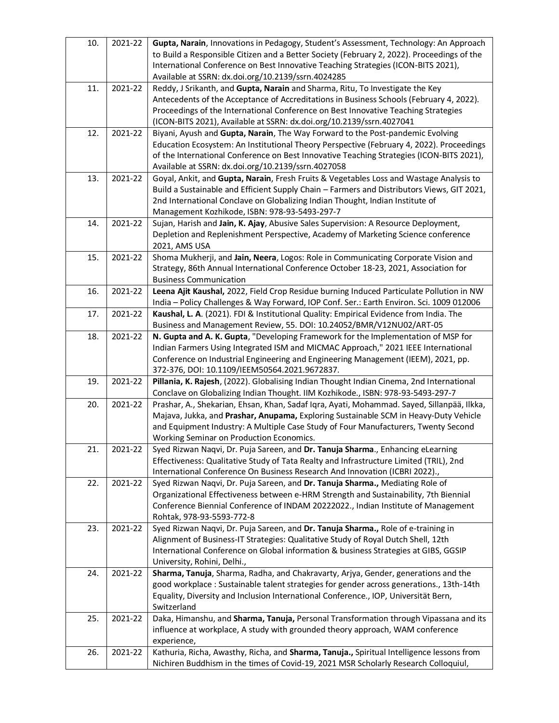| 10. | 2021-22 | Gupta, Narain, Innovations in Pedagogy, Student's Assessment, Technology: An Approach<br>to Build a Responsible Citizen and a Better Society (February 2, 2022). Proceedings of the<br>International Conference on Best Innovative Teaching Strategies (ICON-BITS 2021),<br>Available at SSRN: dx.doi.org/10.2139/ssrn.4024285         |
|-----|---------|----------------------------------------------------------------------------------------------------------------------------------------------------------------------------------------------------------------------------------------------------------------------------------------------------------------------------------------|
| 11. | 2021-22 | Reddy, J Srikanth, and Gupta, Narain and Sharma, Ritu, To Investigate the Key<br>Antecedents of the Acceptance of Accreditations in Business Schools (February 4, 2022).<br>Proceedings of the International Conference on Best Innovative Teaching Strategies<br>(ICON-BITS 2021), Available at SSRN: dx.doi.org/10.2139/ssrn.4027041 |
| 12. | 2021-22 | Biyani, Ayush and Gupta, Narain, The Way Forward to the Post-pandemic Evolving<br>Education Ecosystem: An Institutional Theory Perspective (February 4, 2022). Proceedings<br>of the International Conference on Best Innovative Teaching Strategies (ICON-BITS 2021),<br>Available at SSRN: dx.doi.org/10.2139/ssrn.4027058           |
| 13. | 2021-22 | Goyal, Ankit, and Gupta, Narain, Fresh Fruits & Vegetables Loss and Wastage Analysis to<br>Build a Sustainable and Efficient Supply Chain - Farmers and Distributors Views, GIT 2021,<br>2nd International Conclave on Globalizing Indian Thought, Indian Institute of<br>Management Kozhikode, ISBN: 978-93-5493-297-7                |
| 14. | 2021-22 | Sujan, Harish and Jain, K. Ajay, Abusive Sales Supervision: A Resource Deployment,<br>Depletion and Replenishment Perspective, Academy of Marketing Science conference<br>2021, AMS USA                                                                                                                                                |
| 15. | 2021-22 | Shoma Mukherji, and Jain, Neera, Logos: Role in Communicating Corporate Vision and<br>Strategy, 86th Annual International Conference October 18-23, 2021, Association for<br><b>Business Communication</b>                                                                                                                             |
| 16. | 2021-22 | Leena Ajit Kaushal, 2022, Field Crop Residue burning Induced Particulate Pollution in NW<br>India - Policy Challenges & Way Forward, IOP Conf. Ser.: Earth Environ. Sci. 1009 012006                                                                                                                                                   |
| 17. | 2021-22 | Kaushal, L. A. (2021). FDI & Institutional Quality: Empirical Evidence from India. The<br>Business and Management Review, 55. DOI: 10.24052/BMR/V12NU02/ART-05                                                                                                                                                                         |
| 18. | 2021-22 | N. Gupta and A. K. Gupta, "Developing Framework for the Implementation of MSP for<br>Indian Farmers Using Integrated ISM and MICMAC Approach," 2021 IEEE International<br>Conference on Industrial Engineering and Engineering Management (IEEM), 2021, pp.<br>372-376, DOI: 10.1109/IEEM50564.2021.9672837.                           |
| 19. | 2021-22 | Pillania, K. Rajesh, (2022). Globalising Indian Thought Indian Cinema, 2nd International<br>Conclave on Globalizing Indian Thought. IIM Kozhikode., ISBN: 978-93-5493-297-7                                                                                                                                                            |
| 20. | 2021-22 | Prashar, A., Shekarian, Ehsan, Khan, Sadaf Iqra, Ayati, Mohammad. Sayed, Sillanpää, Ilkka,<br>Majava, Jukka, and Prashar, Anupama, Exploring Sustainable SCM in Heavy-Duty Vehicle<br>and Equipment Industry: A Multiple Case Study of Four Manufacturers, Twenty Second<br>Working Seminar on Production Economics.                   |
| 21. | 2021-22 | Syed Rizwan Naqvi, Dr. Puja Sareen, and Dr. Tanuja Sharma., Enhancing eLearning<br>Effectiveness: Qualitative Study of Tata Realty and Infrastructure Limited (TRIL), 2nd<br>International Conference On Business Research And Innovation (ICBRI 2022).,                                                                               |
| 22. | 2021-22 | Syed Rizwan Naqvi, Dr. Puja Sareen, and Dr. Tanuja Sharma., Mediating Role of<br>Organizational Effectiveness between e-HRM Strength and Sustainability, 7th Biennial<br>Conference Biennial Conference of INDAM 20222022., Indian Institute of Management<br>Rohtak, 978-93-5593-772-8                                                |
| 23. | 2021-22 | Syed Rizwan Naqvi, Dr. Puja Sareen, and Dr. Tanuja Sharma., Role of e-training in<br>Alignment of Business-IT Strategies: Qualitative Study of Royal Dutch Shell, 12th<br>International Conference on Global information & business Strategies at GIBS, GGSIP<br>University, Rohini, Delhi.,                                           |
| 24. | 2021-22 | Sharma, Tanuja, Sharma, Radha, and Chakravarty, Arjya, Gender, generations and the<br>good workplace : Sustainable talent strategies for gender across generations., 13th-14th<br>Equality, Diversity and Inclusion International Conference., IOP, Universität Bern,<br>Switzerland                                                   |
| 25. | 2021-22 | Daka, Himanshu, and Sharma, Tanuja, Personal Transformation through Vipassana and its<br>influence at workplace, A study with grounded theory approach, WAM conference<br>experience,                                                                                                                                                  |
| 26. | 2021-22 | Kathuria, Richa, Awasthy, Richa, and Sharma, Tanuja., Spiritual Intelligence lessons from<br>Nichiren Buddhism in the times of Covid-19, 2021 MSR Scholarly Research Colloquiul,                                                                                                                                                       |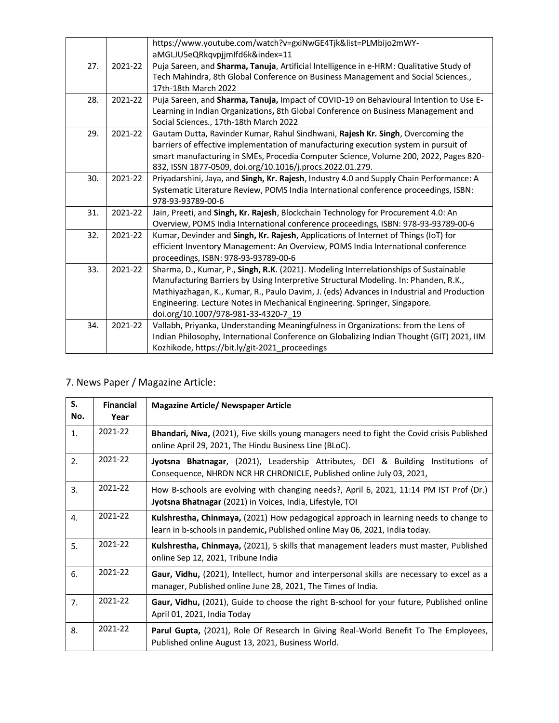|     |         | https://www.youtube.com/watch?v=gxiNwGE4Tjk&list=PLMbijo2mWY-                             |
|-----|---------|-------------------------------------------------------------------------------------------|
|     |         | aMGLJU5eQRkqvpjjmlfd6k&index=11                                                           |
| 27. | 2021-22 | Puja Sareen, and Sharma, Tanuja, Artificial Intelligence in e-HRM: Qualitative Study of   |
|     |         | Tech Mahindra, 8th Global Conference on Business Management and Social Sciences.,         |
|     |         | 17th-18th March 2022                                                                      |
| 28. | 2021-22 | Puja Sareen, and Sharma, Tanuja, Impact of COVID-19 on Behavioural Intention to Use E-    |
|     |         | Learning in Indian Organizations, 8th Global Conference on Business Management and        |
|     |         | Social Sciences., 17th-18th March 2022                                                    |
| 29. | 2021-22 | Gautam Dutta, Ravinder Kumar, Rahul Sindhwani, Rajesh Kr. Singh, Overcoming the           |
|     |         | barriers of effective implementation of manufacturing execution system in pursuit of      |
|     |         | smart manufacturing in SMEs, Procedia Computer Science, Volume 200, 2022, Pages 820-      |
|     |         | 832, ISSN 1877-0509, doi.org/10.1016/j.procs.2022.01.279.                                 |
| 30. | 2021-22 | Priyadarshini, Jaya, and Singh, Kr. Rajesh, Industry 4.0 and Supply Chain Performance: A  |
|     |         | Systematic Literature Review, POMS India International conference proceedings, ISBN:      |
|     |         | 978-93-93789-00-6                                                                         |
| 31. | 2021-22 | Jain, Preeti, and Singh, Kr. Rajesh, Blockchain Technology for Procurement 4.0: An        |
|     |         | Overview, POMS India International conference proceedings, ISBN: 978-93-93789-00-6        |
| 32. | 2021-22 | Kumar, Devinder and Singh, Kr. Rajesh, Applications of Internet of Things (IoT) for       |
|     |         | efficient Inventory Management: An Overview, POMS India International conference          |
|     |         | proceedings, ISBN: 978-93-93789-00-6                                                      |
| 33. | 2021-22 | Sharma, D., Kumar, P., Singh, R.K. (2021). Modeling Interrelationships of Sustainable     |
|     |         | Manufacturing Barriers by Using Interpretive Structural Modeling. In: Phanden, R.K.,      |
|     |         | Mathiyazhagan, K., Kumar, R., Paulo Davim, J. (eds) Advances in Industrial and Production |
|     |         | Engineering. Lecture Notes in Mechanical Engineering. Springer, Singapore.                |
|     |         | doi.org/10.1007/978-981-33-4320-7 19                                                      |
| 34. | 2021-22 | Vallabh, Priyanka, Understanding Meaningfulness in Organizations: from the Lens of        |
|     |         | Indian Philosophy, International Conference on Globalizing Indian Thought (GIT) 2021, IIM |
|     |         | Kozhikode, https://bit.ly/git-2021_proceedings                                            |
|     |         |                                                                                           |

## 7. News Paper / Magazine Article:

| S.<br>No. | <b>Financial</b><br>Year | <b>Magazine Article/ Newspaper Article</b>                                                                                                                           |
|-----------|--------------------------|----------------------------------------------------------------------------------------------------------------------------------------------------------------------|
| 1.        | 2021-22                  | Bhandari, Niva, (2021), Five skills young managers need to fight the Covid crisis Published<br>online April 29, 2021, The Hindu Business Line (BLoC).                |
| 2.        | 2021-22                  | Jyotsna Bhatnagar, (2021), Leadership Attributes, DEI & Building Institutions of<br>Consequence, NHRDN NCR HR CHRONICLE, Published online July 03, 2021,             |
| 3.        | 2021-22                  | How B-schools are evolving with changing needs?, April 6, 2021, 11:14 PM IST Prof (Dr.)<br>Jyotsna Bhatnagar (2021) in Voices, India, Lifestyle, TOI                 |
| 4.        | 2021-22                  | Kulshrestha, Chinmaya, (2021) How pedagogical approach in learning needs to change to<br>learn in b-schools in pandemic, Published online May 06, 2021, India today. |
| 5.        | 2021-22                  | Kulshrestha, Chinmaya, (2021), 5 skills that management leaders must master, Published<br>online Sep 12, 2021, Tribune India                                         |
| 6.        | 2021-22                  | Gaur, Vidhu, (2021), Intellect, humor and interpersonal skills are necessary to excel as a<br>manager, Published online June 28, 2021, The Times of India.           |
| 7.        | 2021-22                  | Gaur, Vidhu, (2021), Guide to choose the right B-school for your future, Published online<br>April 01, 2021, India Today                                             |
| 8.        | 2021-22                  | <b>Parul Gupta,</b> (2021), Role Of Research In Giving Real-World Benefit To The Employees,<br>Published online August 13, 2021, Business World.                     |